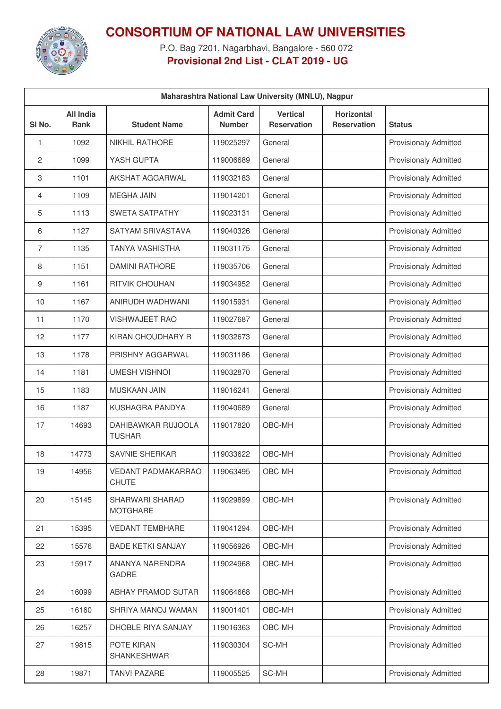

## **CONSORTIUM OF NATIONAL LAW UNIVERSITIES**

P.O. Bag 7201, Nagarbhavi, Bangalore - 560 072 **Provisional 2nd List - CLAT 2019 - UG**

| Maharashtra National Law University (MNLU), Nagpur |                                 |                                     |                                    |                                       |                                  |                              |  |
|----------------------------------------------------|---------------------------------|-------------------------------------|------------------------------------|---------------------------------------|----------------------------------|------------------------------|--|
| SI No.                                             | <b>All India</b><br><b>Rank</b> | <b>Student Name</b>                 | <b>Admit Card</b><br><b>Number</b> | <b>Vertical</b><br><b>Reservation</b> | Horizontal<br><b>Reservation</b> | <b>Status</b>                |  |
| 1                                                  | 1092                            | <b>NIKHIL RATHORE</b>               | 119025297                          | General                               |                                  | <b>Provisionaly Admitted</b> |  |
| 2                                                  | 1099                            | YASH GUPTA                          | 119006689                          | General                               |                                  | <b>Provisionaly Admitted</b> |  |
| 3                                                  | 1101                            | AKSHAT AGGARWAL                     | 119032183                          | General                               |                                  | <b>Provisionaly Admitted</b> |  |
| 4                                                  | 1109                            | <b>MEGHA JAIN</b>                   | 119014201                          | General                               |                                  | <b>Provisionaly Admitted</b> |  |
| 5                                                  | 1113                            | <b>SWETA SATPATHY</b>               | 119023131                          | General                               |                                  | <b>Provisionaly Admitted</b> |  |
| 6                                                  | 1127                            | SATYAM SRIVASTAVA                   | 119040326                          | General                               |                                  | <b>Provisionaly Admitted</b> |  |
| 7                                                  | 1135                            | <b>TANYA VASHISTHA</b>              | 119031175                          | General                               |                                  | <b>Provisionaly Admitted</b> |  |
| 8                                                  | 1151                            | <b>DAMINI RATHORE</b>               | 119035706                          | General                               |                                  | <b>Provisionaly Admitted</b> |  |
| 9                                                  | 1161                            | <b>RITVIK CHOUHAN</b>               | 119034952                          | General                               |                                  | <b>Provisionaly Admitted</b> |  |
| 10                                                 | 1167                            | ANIRUDH WADHWANI                    | 119015931                          | General                               |                                  | <b>Provisionaly Admitted</b> |  |
| 11                                                 | 1170                            | <b>VISHWAJEET RAO</b>               | 119027687                          | General                               |                                  | <b>Provisionaly Admitted</b> |  |
| 12                                                 | 1177                            | KIRAN CHOUDHARY R                   | 119032673                          | General                               |                                  | <b>Provisionaly Admitted</b> |  |
| 13                                                 | 1178                            | PRISHNY AGGARWAL                    | 119031186                          | General                               |                                  | <b>Provisionaly Admitted</b> |  |
| 14                                                 | 1181                            | <b>UMESH VISHNOI</b>                | 119032870                          | General                               |                                  | <b>Provisionaly Admitted</b> |  |
| 15                                                 | 1183                            | <b>MUSKAAN JAIN</b>                 | 119016241                          | General                               |                                  | <b>Provisionaly Admitted</b> |  |
| 16                                                 | 1187                            | KUSHAGRA PANDYA                     | 119040689                          | General                               |                                  | Provisionaly Admitted        |  |
| 17                                                 | 14693                           | DAHIBAWKAR RUJOOLA<br><b>TUSHAR</b> | 119017820                          | OBC-MH                                |                                  | <b>Provisionaly Admitted</b> |  |
| 18                                                 | 14773                           | <b>SAVNIE SHERKAR</b>               | 119033622                          | OBC-MH                                |                                  | <b>Provisionaly Admitted</b> |  |
| 19                                                 | 14956                           | VEDANT PADMAKARRAO<br><b>CHUTE</b>  | 119063495                          | OBC-MH                                |                                  | <b>Provisionaly Admitted</b> |  |
| 20                                                 | 15145                           | SHARWARI SHARAD<br><b>MOTGHARE</b>  | 119029899                          | OBC-MH                                |                                  | <b>Provisionaly Admitted</b> |  |
| 21                                                 | 15395                           | <b>VEDANT TEMBHARE</b>              | 119041294                          | OBC-MH                                |                                  | Provisionaly Admitted        |  |
| 22                                                 | 15576                           | <b>BADE KETKI SANJAY</b>            | 119056926                          | OBC-MH                                |                                  | <b>Provisionaly Admitted</b> |  |
| 23                                                 | 15917                           | ANANYA NARENDRA<br><b>GADRE</b>     | 119024968                          | OBC-MH                                |                                  | <b>Provisionaly Admitted</b> |  |
| 24                                                 | 16099                           | <b>ABHAY PRAMOD SUTAR</b>           | 119064668                          | OBC-MH                                |                                  | <b>Provisionaly Admitted</b> |  |
| 25                                                 | 16160                           | SHRIYA MANOJ WAMAN                  | 119001401                          | OBC-MH                                |                                  | Provisionaly Admitted        |  |
| 26                                                 | 16257                           | DHOBLE RIYA SANJAY                  | 119016363                          | OBC-MH                                |                                  | <b>Provisionaly Admitted</b> |  |
| 27                                                 | 19815                           | POTE KIRAN<br>SHANKESHWAR           | 119030304                          | SC-MH                                 |                                  | <b>Provisionaly Admitted</b> |  |
| 28                                                 | 19871                           | <b>TANVI PAZARE</b>                 | 119005525                          | SC-MH                                 |                                  | Provisionaly Admitted        |  |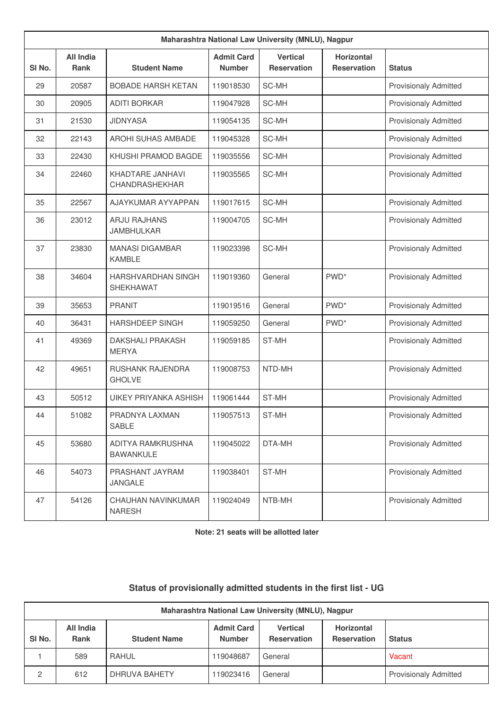|        | Maharashtra National Law University (MNLU), Nagpur |                                          |                                    |                                       |                                         |                              |  |  |
|--------|----------------------------------------------------|------------------------------------------|------------------------------------|---------------------------------------|-----------------------------------------|------------------------------|--|--|
| SI No. | <b>All India</b><br><b>Rank</b>                    | <b>Student Name</b>                      | <b>Admit Card</b><br><b>Number</b> | <b>Vertical</b><br><b>Reservation</b> | <b>Horizontal</b><br><b>Reservation</b> | <b>Status</b>                |  |  |
| 29     | 20587                                              | <b>BOBADE HARSH KETAN</b>                | 119018530                          | SC-MH                                 |                                         | <b>Provisionaly Admitted</b> |  |  |
| 30     | 20905                                              | <b>ADITI BORKAR</b>                      | 119047928                          | SC-MH                                 |                                         | <b>Provisionaly Admitted</b> |  |  |
| 31     | 21530                                              | <b>JIDNYASA</b>                          | 119054135                          | SC-MH                                 |                                         | <b>Provisionaly Admitted</b> |  |  |
| 32     | 22143                                              | <b>AROHI SUHAS AMBADE</b>                | 119045328                          | SC-MH                                 |                                         | <b>Provisionaly Admitted</b> |  |  |
| 33     | 22430                                              | KHUSHI PRAMOD BAGDE                      | 119035556                          | SC-MH                                 |                                         | <b>Provisionaly Admitted</b> |  |  |
| 34     | 22460                                              | KHADTARE JANHAVI<br>CHANDRASHEKHAR       | 119035565                          | SC-MH                                 |                                         | <b>Provisionaly Admitted</b> |  |  |
| 35     | 22567                                              | AJAYKUMAR AYYAPPAN                       | 119017615                          | SC-MH                                 |                                         | <b>Provisionaly Admitted</b> |  |  |
| 36     | 23012                                              | <b>ARJU RAJHANS</b><br><b>JAMBHULKAR</b> | 119004705                          | SC-MH                                 |                                         | <b>Provisionaly Admitted</b> |  |  |
| 37     | 23830                                              | <b>MANASI DIGAMBAR</b><br><b>KAMBLE</b>  | 119023398                          | SC-MH                                 |                                         | <b>Provisionaly Admitted</b> |  |  |
| 38     | 34604                                              | HARSHVARDHAN SINGH<br>SHEKHAWAT          | 119019360                          | General                               | PWD <sup>*</sup>                        | <b>Provisionaly Admitted</b> |  |  |
| 39     | 35653                                              | <b>PRANIT</b>                            | 119019516                          | General                               | PWD <sup>*</sup>                        | <b>Provisionaly Admitted</b> |  |  |
| 40     | 36431                                              | <b>HARSHDEEP SINGH</b>                   | 119059250                          | General                               | PWD <sup>*</sup>                        | <b>Provisionaly Admitted</b> |  |  |
| 41     | 49369                                              | <b>DAKSHALI PRAKASH</b><br><b>MERYA</b>  | 119059185                          | ST-MH                                 |                                         | <b>Provisionaly Admitted</b> |  |  |
| 42     | 49651                                              | <b>RUSHANK RAJENDRA</b><br><b>GHOLVE</b> | 119008753                          | NTD-MH                                |                                         | <b>Provisionaly Admitted</b> |  |  |
| 43     | 50512                                              | <b>UIKEY PRIYANKA ASHISH</b>             | 119061444                          | ST-MH                                 |                                         | <b>Provisionaly Admitted</b> |  |  |
| 44     | 51082                                              | PRADNYA LAXMAN<br>SABLE                  | 119057513                          | ST-MH                                 |                                         | <b>Provisionaly Admitted</b> |  |  |
| 45     | 53680                                              | ADITYA RAMKRUSHNA<br><b>BAWANKULE</b>    | 119045022                          | DTA-MH                                |                                         | Provisionaly Admitted        |  |  |
| 46     | 54073                                              | PRASHANT JAYRAM<br>JANGALE               | 119038401                          | ST-MH                                 |                                         | Provisionaly Admitted        |  |  |
| 47     | 54126                                              | CHAUHAN NAVINKUMAR<br><b>NARESH</b>      | 119024049                          | NTB-MH                                |                                         | <b>Provisionaly Admitted</b> |  |  |

**Note: 21 seats will be allotted later**

## **Status of provisionally admitted students in the first list - UG**

| Maharashtra National Law University (MNLU), Nagpur |                          |                     |                                    |                                       |                                         |                              |  |  |
|----------------------------------------------------|--------------------------|---------------------|------------------------------------|---------------------------------------|-----------------------------------------|------------------------------|--|--|
| SI <sub>No.</sub>                                  | All India<br><b>Rank</b> | <b>Student Name</b> | <b>Admit Card</b><br><b>Number</b> | <b>Vertical</b><br><b>Reservation</b> | <b>Horizontal</b><br><b>Reservation</b> | <b>Status</b>                |  |  |
|                                                    | 589                      | RAHUL               | 119048687                          | General                               |                                         | Vacant                       |  |  |
| 2                                                  | 612                      | DHRUVA BAHETY       | 119023416                          | General                               |                                         | <b>Provisionaly Admitted</b> |  |  |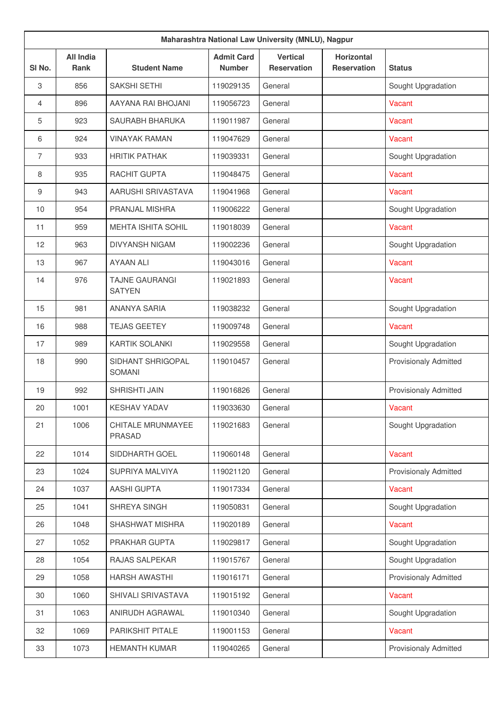|                | Maharashtra National Law University (MNLU), Nagpur |                                    |                                    |                                       |                                         |                              |  |  |
|----------------|----------------------------------------------------|------------------------------------|------------------------------------|---------------------------------------|-----------------------------------------|------------------------------|--|--|
| SI No.         | <b>All India</b><br><b>Rank</b>                    | <b>Student Name</b>                | <b>Admit Card</b><br><b>Number</b> | <b>Vertical</b><br><b>Reservation</b> | <b>Horizontal</b><br><b>Reservation</b> | <b>Status</b>                |  |  |
| $\,3$          | 856                                                | SAKSHI SETHI                       | 119029135                          | General                               |                                         | Sought Upgradation           |  |  |
| $\overline{4}$ | 896                                                | AAYANA RAI BHOJANI                 | 119056723                          | General                               |                                         | Vacant                       |  |  |
| 5              | 923                                                | SAURABH BHARUKA                    | 119011987                          | General                               |                                         | Vacant                       |  |  |
| 6              | 924                                                | <b>VINAYAK RAMAN</b>               | 119047629                          | General                               |                                         | Vacant                       |  |  |
| $\overline{7}$ | 933                                                | <b>HRITIK PATHAK</b>               | 119039331                          | General                               |                                         | Sought Upgradation           |  |  |
| 8              | 935                                                | RACHIT GUPTA                       | 119048475                          | General                               |                                         | Vacant                       |  |  |
| 9              | 943                                                | AARUSHI SRIVASTAVA                 | 119041968                          | General                               |                                         | Vacant                       |  |  |
| 10             | 954                                                | PRANJAL MISHRA                     | 119006222                          | General                               |                                         | Sought Upgradation           |  |  |
| 11             | 959                                                | MEHTA ISHITA SOHIL                 | 119018039                          | General                               |                                         | Vacant                       |  |  |
| 12             | 963                                                | <b>DIVYANSH NIGAM</b>              | 119002236                          | General                               |                                         | Sought Upgradation           |  |  |
| 13             | 967                                                | <b>AYAAN ALI</b>                   | 119043016                          | General                               |                                         | Vacant                       |  |  |
| 14             | 976                                                | TAJNE GAURANGI<br><b>SATYEN</b>    | 119021893                          | General                               |                                         | Vacant                       |  |  |
| 15             | 981                                                | <b>ANANYA SARIA</b>                | 119038232                          | General                               |                                         | Sought Upgradation           |  |  |
| 16             | 988                                                | <b>TEJAS GEETEY</b>                | 119009748                          | General                               |                                         | Vacant                       |  |  |
| 17             | 989                                                | <b>KARTIK SOLANKI</b>              | 119029558                          | General                               |                                         | Sought Upgradation           |  |  |
| 18             | 990                                                | SIDHANT SHRIGOPAL<br><b>SOMANI</b> | 119010457                          | General                               |                                         | <b>Provisionaly Admitted</b> |  |  |
| 19             | 992                                                | SHRISHTI JAIN                      | 119016826                          | General                               |                                         | <b>Provisionaly Admitted</b> |  |  |
| 20             | 1001                                               | <b>KESHAV YADAV</b>                | 119033630                          | General                               |                                         | Vacant                       |  |  |
| 21             | 1006                                               | CHITALE MRUNMAYEE<br><b>PRASAD</b> | 119021683                          | General                               |                                         | Sought Upgradation           |  |  |
| 22             | 1014                                               | SIDDHARTH GOEL                     | 119060148                          | General                               |                                         | Vacant                       |  |  |
| 23             | 1024                                               | SUPRIYA MALVIYA                    | 119021120                          | General                               |                                         | <b>Provisionaly Admitted</b> |  |  |
| 24             | 1037                                               | AASHI GUPTA                        | 119017334                          | General                               |                                         | Vacant                       |  |  |
| 25             | 1041                                               | SHREYA SINGH                       | 119050831                          | General                               |                                         | Sought Upgradation           |  |  |
| 26             | 1048                                               | SHASHWAT MISHRA                    | 119020189                          | General                               |                                         | Vacant                       |  |  |
| 27             | 1052                                               | PRAKHAR GUPTA                      | 119029817                          | General                               |                                         | Sought Upgradation           |  |  |
| 28             | 1054                                               | RAJAS SALPEKAR                     | 119015767                          | General                               |                                         | Sought Upgradation           |  |  |
| 29             | 1058                                               | <b>HARSH AWASTHI</b>               | 119016171                          | General                               |                                         | <b>Provisionaly Admitted</b> |  |  |
| 30             | 1060                                               | SHIVALI SRIVASTAVA                 | 119015192                          | General                               |                                         | Vacant                       |  |  |
| 31             | 1063                                               | ANIRUDH AGRAWAL                    | 119010340                          | General                               |                                         | Sought Upgradation           |  |  |
| 32             | 1069                                               | PARIKSHIT PITALE                   | 119001153                          | General                               |                                         | Vacant                       |  |  |
| 33             | 1073                                               | <b>HEMANTH KUMAR</b>               | 119040265                          | General                               |                                         | <b>Provisionaly Admitted</b> |  |  |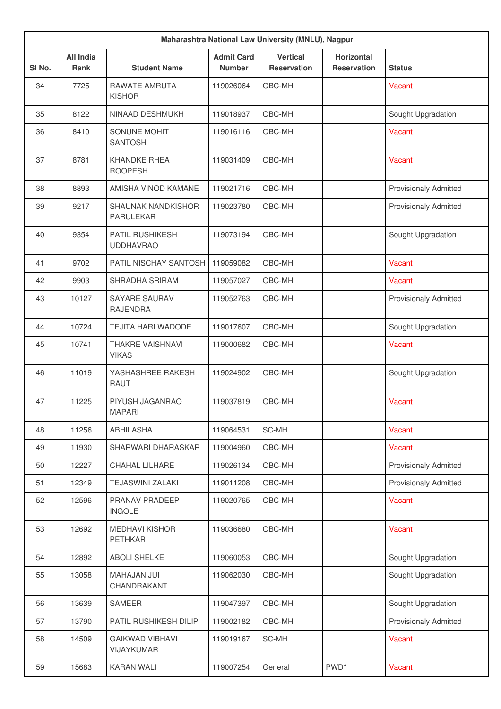|        | Maharashtra National Law University (MNLU), Nagpur |                                            |                                    |                                       |                                         |                              |  |  |
|--------|----------------------------------------------------|--------------------------------------------|------------------------------------|---------------------------------------|-----------------------------------------|------------------------------|--|--|
| SI No. | <b>All India</b><br><b>Rank</b>                    | <b>Student Name</b>                        | <b>Admit Card</b><br><b>Number</b> | <b>Vertical</b><br><b>Reservation</b> | <b>Horizontal</b><br><b>Reservation</b> | <b>Status</b>                |  |  |
| 34     | 7725                                               | RAWATE AMRUTA<br><b>KISHOR</b>             | 119026064                          | OBC-MH                                |                                         | Vacant                       |  |  |
| 35     | 8122                                               | NINAAD DESHMUKH                            | 119018937                          | OBC-MH                                |                                         | Sought Upgradation           |  |  |
| 36     | 8410                                               | SONUNE MOHIT<br><b>SANTOSH</b>             | 119016116                          | OBC-MH                                |                                         | Vacant                       |  |  |
| 37     | 8781                                               | <b>KHANDKE RHEA</b><br><b>ROOPESH</b>      | 119031409                          | OBC-MH                                |                                         | Vacant                       |  |  |
| 38     | 8893                                               | AMISHA VINOD KAMANE                        | 119021716                          | OBC-MH                                |                                         | <b>Provisionaly Admitted</b> |  |  |
| 39     | 9217                                               | SHAUNAK NANDKISHOR<br><b>PARULEKAR</b>     | 119023780                          | OBC-MH                                |                                         | <b>Provisionaly Admitted</b> |  |  |
| 40     | 9354                                               | <b>PATIL RUSHIKESH</b><br><b>UDDHAVRAO</b> | 119073194                          | OBC-MH                                |                                         | Sought Upgradation           |  |  |
| 41     | 9702                                               | PATIL NISCHAY SANTOSH                      | 119059082                          | OBC-MH                                |                                         | Vacant                       |  |  |
| 42     | 9903                                               | SHRADHA SRIRAM                             | 119057027                          | OBC-MH                                |                                         | Vacant                       |  |  |
| 43     | 10127                                              | SAYARE SAURAV<br><b>RAJENDRA</b>           | 119052763                          | OBC-MH                                |                                         | <b>Provisionaly Admitted</b> |  |  |
| 44     | 10724                                              | <b>TEJITA HARI WADODE</b>                  | 119017607                          | OBC-MH                                |                                         | Sought Upgradation           |  |  |
| 45     | 10741                                              | <b>THAKRE VAISHNAVI</b><br><b>VIKAS</b>    | 119000682                          | OBC-MH                                |                                         | Vacant                       |  |  |
| 46     | 11019                                              | YASHASHREE RAKESH<br>RAUT                  | 119024902                          | OBC-MH                                |                                         | Sought Upgradation           |  |  |
| 47     | 11225                                              | PIYUSH JAGANRAO<br><b>MAPARI</b>           | 119037819                          | OBC-MH                                |                                         | Vacant                       |  |  |
| 48     | 11256                                              | ABHILASHA                                  | 119064531                          | SC-MH                                 |                                         | <b>Vacant</b>                |  |  |
| 49     | 11930                                              | SHARWARI DHARASKAR                         | 119004960                          | OBC-MH                                |                                         | Vacant                       |  |  |
| 50     | 12227                                              | CHAHAL LILHARE                             | 119026134                          | OBC-MH                                |                                         | <b>Provisionaly Admitted</b> |  |  |
| 51     | 12349                                              | <b>TEJASWINI ZALAKI</b>                    | 119011208                          | OBC-MH                                |                                         | <b>Provisionaly Admitted</b> |  |  |
| 52     | 12596                                              | PRANAV PRADEEP<br><b>INGOLE</b>            | 119020765                          | OBC-MH                                |                                         | Vacant                       |  |  |
| 53     | 12692                                              | <b>MEDHAVI KISHOR</b><br><b>PETHKAR</b>    | 119036680                          | OBC-MH                                |                                         | Vacant                       |  |  |
| 54     | 12892                                              | <b>ABOLI SHELKE</b>                        | 119060053                          | OBC-MH                                |                                         | Sought Upgradation           |  |  |
| 55     | 13058                                              | <b>MAHAJAN JUI</b><br>CHANDRAKANT          | 119062030                          | OBC-MH                                |                                         | Sought Upgradation           |  |  |
| 56     | 13639                                              | <b>SAMEER</b>                              | 119047397                          | OBC-MH                                |                                         | Sought Upgradation           |  |  |
| 57     | 13790                                              | PATIL RUSHIKESH DILIP                      | 119002182                          | OBC-MH                                |                                         | <b>Provisionaly Admitted</b> |  |  |
| 58     | 14509                                              | <b>GAIKWAD VIBHAVI</b><br>VIJAYKUMAR       | 119019167                          | SC-MH                                 |                                         | Vacant                       |  |  |
| 59     | 15683                                              | <b>KARAN WALI</b>                          | 119007254                          | General                               | PWD <sup>*</sup>                        | Vacant                       |  |  |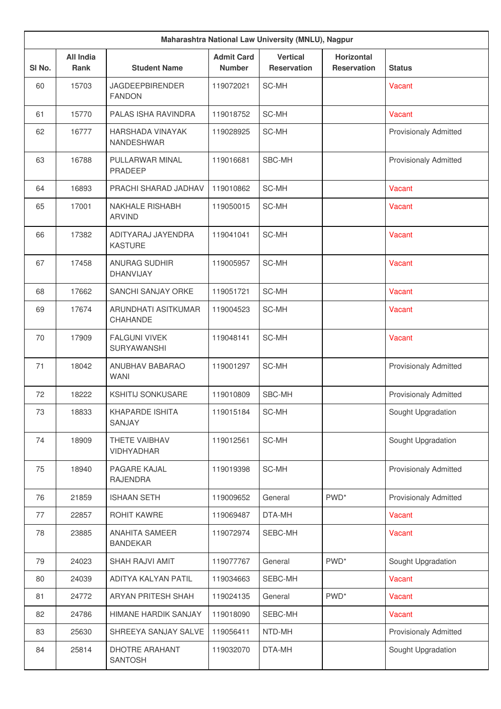|        | Maharashtra National Law University (MNLU), Nagpur |                                              |                                    |                                       |                                         |                              |  |  |
|--------|----------------------------------------------------|----------------------------------------------|------------------------------------|---------------------------------------|-----------------------------------------|------------------------------|--|--|
| SI No. | <b>All India</b><br><b>Rank</b>                    | <b>Student Name</b>                          | <b>Admit Card</b><br><b>Number</b> | <b>Vertical</b><br><b>Reservation</b> | <b>Horizontal</b><br><b>Reservation</b> | <b>Status</b>                |  |  |
| 60     | 15703                                              | <b>JAGDEEPBIRENDER</b><br><b>FANDON</b>      | 119072021                          | SC-MH                                 |                                         | Vacant                       |  |  |
| 61     | 15770                                              | PALAS ISHA RAVINDRA                          | 119018752                          | SC-MH                                 |                                         | Vacant                       |  |  |
| 62     | 16777                                              | <b>HARSHADA VINAYAK</b><br><b>NANDESHWAR</b> | 119028925                          | SC-MH                                 |                                         | <b>Provisionaly Admitted</b> |  |  |
| 63     | 16788                                              | PULLARWAR MINAL<br><b>PRADEEP</b>            | 119016681                          | SBC-MH                                |                                         | <b>Provisionaly Admitted</b> |  |  |
| 64     | 16893                                              | PRACHI SHARAD JADHAV                         | 119010862                          | SC-MH                                 |                                         | Vacant                       |  |  |
| 65     | 17001                                              | NAKHALE RISHABH<br><b>ARVIND</b>             | 119050015                          | SC-MH                                 |                                         | Vacant                       |  |  |
| 66     | 17382                                              | ADITYARAJ JAYENDRA<br><b>KASTURE</b>         | 119041041                          | SC-MH                                 |                                         | Vacant                       |  |  |
| 67     | 17458                                              | <b>ANURAG SUDHIR</b><br><b>DHANVIJAY</b>     | 119005957                          | SC-MH                                 |                                         | Vacant                       |  |  |
| 68     | 17662                                              | SANCHI SANJAY ORKE                           | 119051721                          | SC-MH                                 |                                         | Vacant                       |  |  |
| 69     | 17674                                              | ARUNDHATI ASITKUMAR<br><b>CHAHANDE</b>       | 119004523                          | SC-MH                                 |                                         | Vacant                       |  |  |
| 70     | 17909                                              | <b>FALGUNI VIVEK</b><br>SURYAWANSHI          | 119048141                          | SC-MH                                 |                                         | Vacant                       |  |  |
| 71     | 18042                                              | ANUBHAV BABARAO<br><b>WANI</b>               | 119001297                          | SC-MH                                 |                                         | <b>Provisionaly Admitted</b> |  |  |
| 72     | 18222                                              | <b>KSHITIJ SONKUSARE</b>                     | 119010809                          | SBC-MH                                |                                         | <b>Provisionaly Admitted</b> |  |  |
| 73     | 18833                                              | <b>KHAPARDE ISHITA</b><br>SANJAY             | 119015184                          | SC-MH                                 |                                         | Sought Upgradation           |  |  |
| 74     | 18909                                              | THETE VAIBHAV<br>VIDHYADHAR                  | 119012561                          | SC-MH                                 |                                         | Sought Upgradation           |  |  |
| 75     | 18940                                              | PAGARE KAJAL<br><b>RAJENDRA</b>              | 119019398                          | SC-MH                                 |                                         | <b>Provisionaly Admitted</b> |  |  |
| 76     | 21859                                              | <b>ISHAAN SETH</b>                           | 119009652                          | General                               | PWD <sup>*</sup>                        | <b>Provisionaly Admitted</b> |  |  |
| 77     | 22857                                              | ROHIT KAWRE                                  | 119069487                          | DTA-MH                                |                                         | Vacant                       |  |  |
| 78     | 23885                                              | <b>ANAHITA SAMEER</b><br><b>BANDEKAR</b>     | 119072974                          | SEBC-MH                               |                                         | Vacant                       |  |  |
| 79     | 24023                                              | SHAH RAJVI AMIT                              | 119077767                          | General                               | PWD <sup>*</sup>                        | Sought Upgradation           |  |  |
| 80     | 24039                                              | ADITYA KALYAN PATIL                          | 119034663                          | SEBC-MH                               |                                         | Vacant                       |  |  |
| 81     | 24772                                              | ARYAN PRITESH SHAH                           | 119024135                          | General                               | PWD <sup>*</sup>                        | Vacant                       |  |  |
| 82     | 24786                                              | HIMANE HARDIK SANJAY                         | 119018090                          | SEBC-MH                               |                                         | Vacant                       |  |  |
| 83     | 25630                                              | SHREEYA SANJAY SALVE                         | 119056411                          | NTD-MH                                |                                         | Provisionaly Admitted        |  |  |
| 84     | 25814                                              | <b>DHOTRE ARAHANT</b><br><b>SANTOSH</b>      | 119032070                          | DTA-MH                                |                                         | Sought Upgradation           |  |  |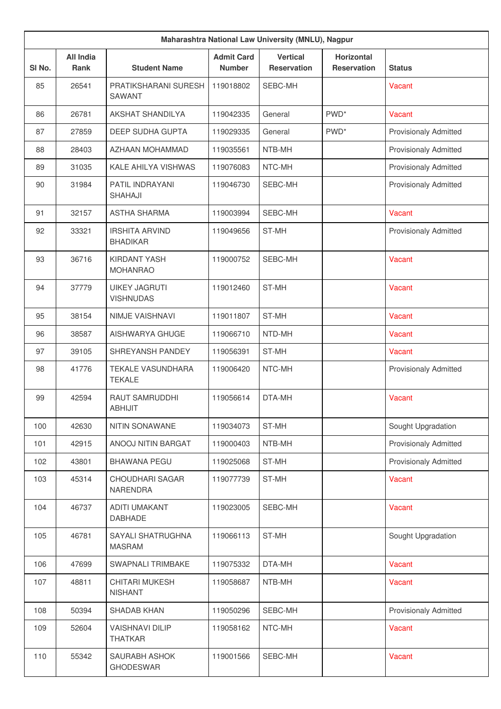|        | Maharashtra National Law University (MNLU), Nagpur |                                           |                                    |                                       |                                         |                              |  |
|--------|----------------------------------------------------|-------------------------------------------|------------------------------------|---------------------------------------|-----------------------------------------|------------------------------|--|
| SI No. | <b>All India</b><br><b>Rank</b>                    | <b>Student Name</b>                       | <b>Admit Card</b><br><b>Number</b> | <b>Vertical</b><br><b>Reservation</b> | <b>Horizontal</b><br><b>Reservation</b> | <b>Status</b>                |  |
| 85     | 26541                                              | PRATIKSHARANI SURESH<br>SAWANT            | 119018802                          | SEBC-MH                               |                                         | Vacant                       |  |
| 86     | 26781                                              | AKSHAT SHANDILYA                          | 119042335                          | General                               | PWD <sup>*</sup>                        | Vacant                       |  |
| 87     | 27859                                              | DEEP SUDHA GUPTA                          | 119029335                          | General                               | PWD <sup>*</sup>                        | <b>Provisionaly Admitted</b> |  |
| 88     | 28403                                              | AZHAAN MOHAMMAD                           | 119035561                          | NTB-MH                                |                                         | <b>Provisionaly Admitted</b> |  |
| 89     | 31035                                              | KALE AHILYA VISHWAS                       | 119076083                          | NTC-MH                                |                                         | <b>Provisionaly Admitted</b> |  |
| 90     | 31984                                              | PATIL INDRAYANI<br>SHAHAJI                | 119046730                          | SEBC-MH                               |                                         | <b>Provisionaly Admitted</b> |  |
| 91     | 32157                                              | <b>ASTHA SHARMA</b>                       | 119003994                          | SEBC-MH                               |                                         | Vacant                       |  |
| 92     | 33321                                              | <b>IRSHITA ARVIND</b><br><b>BHADIKAR</b>  | 119049656                          | ST-MH                                 |                                         | <b>Provisionaly Admitted</b> |  |
| 93     | 36716                                              | KIRDANT YASH<br><b>MOHANRAO</b>           | 119000752                          | SEBC-MH                               |                                         | Vacant                       |  |
| 94     | 37779                                              | <b>UIKEY JAGRUTI</b><br><b>VISHNUDAS</b>  | 119012460                          | ST-MH                                 |                                         | Vacant                       |  |
| 95     | 38154                                              | NIMJE VAISHNAVI                           | 119011807                          | ST-MH                                 |                                         | Vacant                       |  |
| 96     | 38587                                              | AISHWARYA GHUGE                           | 119066710                          | NTD-MH                                |                                         | Vacant                       |  |
| 97     | 39105                                              | SHREYANSH PANDEY                          | 119056391                          | ST-MH                                 |                                         | Vacant                       |  |
| 98     | 41776                                              | <b>TEKALE VASUNDHARA</b><br><b>TEKALE</b> | 119006420                          | NTC-MH                                |                                         | <b>Provisionaly Admitted</b> |  |
| 99     | 42594                                              | <b>RAUT SAMRUDDHI</b><br>ABHIJIT          | 119056614                          | DTA-MH                                |                                         | Vacant                       |  |
| 100    | 42630                                              | NITIN SONAWANE                            | 119034073                          | ST-MH                                 |                                         | Sought Upgradation           |  |
| 101    | 42915                                              | ANOOJ NITIN BARGAT                        | 119000403                          | NTB-MH                                |                                         | Provisionaly Admitted        |  |
| 102    | 43801                                              | <b>BHAWANA PEGU</b>                       | 119025068                          | ST-MH                                 |                                         | Provisionaly Admitted        |  |
| 103    | 45314                                              | CHOUDHARI SAGAR<br>NARENDRA               | 119077739                          | ST-MH                                 |                                         | Vacant                       |  |
| 104    | 46737                                              | <b>ADITI UMAKANT</b><br><b>DABHADE</b>    | 119023005                          | SEBC-MH                               |                                         | Vacant                       |  |
| 105    | 46781                                              | SAYALI SHATRUGHNA<br><b>MASRAM</b>        | 119066113                          | ST-MH                                 |                                         | Sought Upgradation           |  |
| 106    | 47699                                              | SWAPNALI TRIMBAKE                         | 119075332                          | DTA-MH                                |                                         | Vacant                       |  |
| 107    | 48811                                              | <b>CHITARI MUKESH</b><br><b>NISHANT</b>   | 119058687                          | NTB-MH                                |                                         | Vacant                       |  |
| 108    | 50394                                              | <b>SHADAB KHAN</b>                        | 119050296                          | SEBC-MH                               |                                         | Provisionaly Admitted        |  |
| 109    | 52604                                              | <b>VAISHNAVI DILIP</b><br><b>THATKAR</b>  | 119058162                          | NTC-MH                                |                                         | Vacant                       |  |
| 110    | 55342                                              | SAURABH ASHOK<br><b>GHODESWAR</b>         | 119001566                          | SEBC-MH                               |                                         | Vacant                       |  |